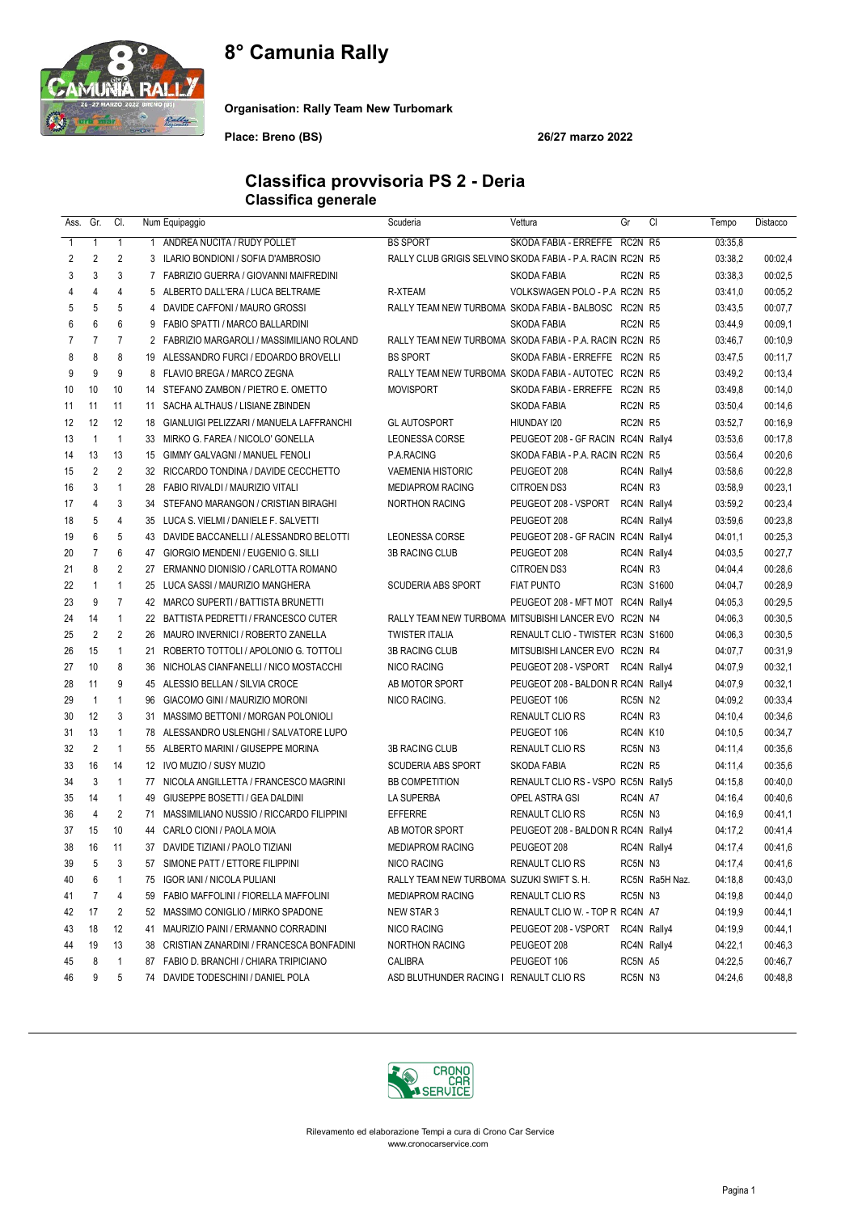# 8° Camunia Rally



Organisation: Rally Team New Turbomark

Place: Breno (BS) 26/27 marzo 2022

#### Classifica provvisoria PS 2 - Deria Classifica generale

| Ass.         | Gr.            | CI.                            |                | Num Equipaggio                                                               | Scuderia                                                   | Vettura                                                    | Gr          | CI             | Tempo              | Distacco           |
|--------------|----------------|--------------------------------|----------------|------------------------------------------------------------------------------|------------------------------------------------------------|------------------------------------------------------------|-------------|----------------|--------------------|--------------------|
| $\mathbf{1}$ | 1              | $\mathbf{1}$                   | 1              | ANDREA NUCITA / RUDY POLLET                                                  | <b>BS SPORT</b>                                            | SKODA FABIA - ERREFFE RC2N R5                              |             |                | 03:35,8            |                    |
| 2            | $\overline{2}$ | 2                              |                | 3 ILARIO BONDIONI / SOFIA D'AMBROSIO                                         | RALLY CLUB GRIGIS SELVINO SKODA FABIA - P.A. RACIN RC2N R5 |                                                            |             |                | 03:38,2            | 00:02,4            |
| 3            | 3              | 3                              | $\overline{7}$ | FABRIZIO GUERRA / GIOVANNI MAIFREDINI                                        |                                                            | SKODA FABIA                                                | RC2N R5     |                | 03:38,3            | 00:02,5            |
| 4            | 4              | 4                              |                | 5 ALBERTO DALL'ERA / LUCA BELTRAME                                           | R-XTEAM                                                    | VOLKSWAGEN POLO - P.A RC2N R5                              |             |                | 03:41,0            | 00:05.2            |
| 5            | 5              | 5                              | 4              | DAVIDE CAFFONI / MAURO GROSSI                                                | RALLY TEAM NEW TURBOMA SKODA FABIA - BALBOSC RC2N R5       |                                                            |             |                | 03:43,5            | 00:07,7            |
| 6            | 6              | 6                              |                | 9 FABIO SPATTI / MARCO BALLARDINI                                            |                                                            | SKODA FABIA                                                | RC2N R5     |                | 03:44,9            | 00:09,1            |
| 7            | $\overline{7}$ | $\overline{7}$                 |                | 2 FABRIZIO MARGAROLI / MASSIMILIANO ROLAND                                   | RALLY TEAM NEW TURBOMA SKODA FABIA - P.A. RACIN RC2N R5    |                                                            |             |                | 03:46,7            | 00:10,9            |
| 8            | 8              | 8                              |                | 19 ALESSANDRO FURCI / EDOARDO BROVELLI                                       | <b>BS SPORT</b>                                            | SKODA FABIA - ERREFFE RC2N R5                              |             |                | 03:47,5            | 00:11,7            |
| 9            | 9              | 9                              |                | 8 FLAVIO BREGA / MARCO ZEGNA                                                 | RALLY TEAM NEW TURBOMA SKODA FABIA - AUTOTEC RC2N R5       |                                                            |             |                | 03:49,2            | 00:13,4            |
| 10           | 10             | 10                             |                | 14 STEFANO ZAMBON / PIETRO E. OMETTO                                         | <b>MOVISPORT</b>                                           | SKODA FABIA - ERREFFE RC2N R5                              |             |                | 03:49,8            | 00:14,0            |
| 11           | 11             | 11                             | 11             | SACHA ALTHAUS / LISIANE ZBINDEN                                              |                                                            | <b>SKODA FABIA</b>                                         | RC2N R5     |                | 03:50,4            | 00:14,6            |
| 12           | 12             | 12                             |                | 18 GIANLUIGI PELIZZARI / MANUELA LAFFRANCHI                                  | <b>GL AUTOSPORT</b>                                        | HIUNDAY 120                                                | RC2N R5     |                | 03:52,7            | 00:16,9            |
| 13           | $\mathbf{1}$   | $\mathbf{1}$                   |                | 33 MIRKO G. FAREA / NICOLO' GONELLA                                          | <b>LEONESSA CORSE</b>                                      | PEUGEOT 208 - GF RACIN RC4N Rally4                         |             |                | 03:53,6            | 00:17,8            |
| 14           | 13             | 13                             |                | 15 GIMMY GALVAGNI / MANUEL FENOLI                                            | P.A.RACING                                                 | SKODA FABIA - P.A. RACIN RC2N R5                           |             |                | 03:56,4            | 00:20,6            |
| 15           | $\overline{2}$ | $\overline{2}$                 | 32             | RICCARDO TONDINA / DAVIDE CECCHETTO                                          | <b>VAEMENIA HISTORIC</b>                                   | PEUGEOT 208                                                |             | RC4N Rally4    | 03:58,6            | 00:22,8            |
| 16           | 3              | $\overline{1}$                 |                | 28 FABIO RIVALDI / MAURIZIO VITALI                                           | <b>MEDIAPROM RACING</b>                                    | <b>CITROEN DS3</b>                                         | RC4N R3     |                | 03:58,9            | 00:23,1            |
| 17           | 4              | 3                              |                | 34 STEFANO MARANGON / CRISTIAN BIRAGHI                                       | <b>NORTHON RACING</b>                                      | PEUGEOT 208 - VSPORT                                       |             | RC4N Rally4    | 03:59.2            | 00:23,4            |
| 18           | 5              | 4                              |                | 35 LUCA S. VIELMI / DANIELE F. SALVETTI                                      |                                                            | PEUGEOT 208                                                |             | RC4N Rally4    | 03:59.6            | 00:23,8            |
| 19           | 6              | 5                              |                | 43 DAVIDE BACCANELLI / ALESSANDRO BELOTTI                                    | LEONESSA CORSE                                             | PEUGEOT 208 - GF RACIN RC4N Rally4                         |             |                | 04:01.1            | 00:25,3            |
| 20           | $\overline{7}$ | 6                              | 47             | GIORGIO MENDENI / EUGENIO G. SILLI                                           | <b>3B RACING CLUB</b>                                      | PEUGEOT 208                                                |             | RC4N Rally4    | 04:03.5            | 00:27,7            |
| 21           | 8              | 2                              | 27             | ERMANNO DIONISIO / CARLOTTA ROMANO                                           |                                                            | <b>CITROEN DS3</b>                                         | RC4N R3     |                | 04:04,4            | 00:28,6            |
| 22           | $\mathbf{1}$   | $\mathbf{1}$                   |                | 25 LUCA SASSI / MAURIZIO MANGHERA                                            | <b>SCUDERIA ABS SPORT</b>                                  | <b>FIAT PUNTO</b>                                          |             | RC3N S1600     | 04:04.7            | 00:28,9            |
| 23           | 9              | $\overline{7}$                 |                | 42 MARCO SUPERTI / BATTISTA BRUNETTI                                         |                                                            | PEUGEOT 208 - MFT MOT RC4N Rally4                          |             |                | 04:05.3            | 00:29,5            |
| 24           | 14             | $\mathbf{1}$<br>$\overline{2}$ |                | 22 BATTISTA PEDRETTI / FRANCESCO CUTER                                       | RALLY TEAM NEW TURBOMA MITSUBISHI LANCER EVO RC2N N4       |                                                            |             |                | 04:06.3            | 00:30,5            |
| 25           | $\overline{2}$ | $\mathbf{1}$                   |                | 26 MAURO INVERNICI / ROBERTO ZANELLA                                         | <b>TWISTER ITALIA</b>                                      | RENAULT CLIO - TWISTER RC3N S1600                          |             |                | 04:06.3            | 00:30,5            |
| 26           | 15             |                                | 21             | ROBERTO TOTTOLI / APOLONIO G. TOTTOLI                                        | <b>3B RACING CLUB</b>                                      | MITSUBISHI LANCER EVO RC2N R4                              |             |                | 04:07.7            | 00:31,9            |
| 27<br>28     | 10<br>11       | 8<br>9                         |                | 36 NICHOLAS CIANFANELLI / NICO MOSTACCHI<br>45 ALESSIO BELLAN / SILVIA CROCE | NICO RACING<br>AB MOTOR SPORT                              | PEUGEOT 208 - VSPORT<br>PEUGEOT 208 - BALDON R RC4N Rally4 | RC4N Rally4 |                | 04:07.9<br>04:07.9 | 00:32,1<br>00:32,1 |
| 29           | $\overline{1}$ | $\mathbf{1}$                   | 96             | GIACOMO GINI / MAURIZIO MORONI                                               | NICO RACING.                                               | PEUGEOT 106                                                | RC5N N2     |                | 04:09.2            | 00:33,4            |
| 30           | 12             | 3                              | 31             | MASSIMO BETTONI / MORGAN POLONIOLI                                           |                                                            | RENAULT CLIO RS                                            | RC4N R3     |                | 04:10,4            | 00:34,6            |
| 31           | 13             | $\mathbf{1}$                   |                | 78 ALESSANDRO USLENGHI / SALVATORE LUPO                                      |                                                            | PEUGEOT 106                                                | RC4N K10    |                | 04:10,5            | 00:34,7            |
| 32           | $\overline{2}$ | $\overline{1}$                 |                | 55 ALBERTO MARINI / GIUSEPPE MORINA                                          | <b>3B RACING CLUB</b>                                      | <b>RENAULT CLIO RS</b>                                     | RC5N N3     |                | 04:11,4            | 00:35,6            |
| 33           | 16             | 14                             |                | 12 IVO MUZIO / SUSY MUZIO                                                    | <b>SCUDERIA ABS SPORT</b>                                  | <b>SKODA FABIA</b>                                         | RC2N R5     |                | 04:11,4            | 00:35,6            |
| 34           | 3              | $\overline{1}$                 |                | 77 NICOLA ANGILLETTA / FRANCESCO MAGRINI                                     | <b>BB COMPETITION</b>                                      | RENAULT CLIO RS - VSPO RC5N Rally5                         |             |                | 04:15,8            | 00:40,0            |
| 35           | 14             | $\mathbf{1}$                   | 49             | GIUSEPPE BOSETTI / GEA DALDINI                                               | LA SUPERBA                                                 | OPEL ASTRA GSI                                             | RC4N A7     |                | 04:16,4            | 00:40,6            |
| 36           | $\overline{4}$ | 2                              | 71             | MASSIMILIANO NUSSIO / RICCARDO FILIPPINI                                     | <b>EFFERRE</b>                                             | RENAULT CLIO RS                                            | RC5N N3     |                | 04:16,9            | 00:41,1            |
| 37           | 15             | 10                             |                | 44 CARLO CIONI / PAOLA MOIA                                                  | AB MOTOR SPORT                                             | PEUGEOT 208 - BALDON R RC4N Rally4                         |             |                | 04:17,2            | 00:41,4            |
| 38           | 16             | 11                             |                | 37 DAVIDE TIZIANI / PAOLO TIZIANI                                            | <b>MEDIAPROM RACING</b>                                    | PEUGEOT 208                                                |             | RC4N Rally4    | 04:17,4            | 00:41,6            |
| 39           | 5              |                                |                | 57 SIMONE PATT / ETTORE FILIPPINI                                            | NICO RACING                                                | RENAULT CLIO RS                                            | RC5N N3     |                | 04:17,4            | 00:41,6            |
| 40           | 6              | 1                              |                | 75 IGOR IANI / NICOLA PULIANI                                                | RALLY TEAM NEW TURBOMA SUZUKI SWIFT S. H.                  |                                                            |             | RC5N Ra5H Naz. | 04:18,8            | 00:43,0            |
| 41           | 7              | 4                              |                | 59 FABIO MAFFOLINI / FIORELLA MAFFOLINI                                      | <b>MEDIAPROM RACING</b>                                    | RENAULT CLIO RS                                            | RC5N N3     |                | 04:19,8            | 00:44,0            |
| 42           | 17             | 2                              |                | 52 MASSIMO CONIGLIO / MIRKO SPADONE                                          | NEW STAR 3                                                 | RENAULT CLIO W. - TOP R RC4N A7                            |             |                | 04:19,9            | 00:44,1            |
| 43           | 18             | 12                             | 41             | MAURIZIO PAINI / ERMANNO CORRADINI                                           | NICO RACING                                                | PEUGEOT 208 - VSPORT                                       |             | RC4N Rally4    | 04:19,9            | 00:44,1            |
| 44           | 19             | 13                             |                | 38 CRISTIAN ZANARDINI / FRANCESCA BONFADINI                                  | NORTHON RACING                                             | PEUGEOT 208                                                |             | RC4N Rally4    | 04:22,1            | 00:46,3            |
| 45           | 8              | $\mathbf{1}$                   |                | 87 FABIO D. BRANCHI / CHIARA TRIPICIANO                                      | CALIBRA                                                    | PEUGEOT 106                                                | RC5N A5     |                | 04:22,5            | 00:46,7            |
| 46           | 9              | 5                              |                | 74 DAVIDE TODESCHINI / DANIEL POLA                                           | ASD BLUTHUNDER RACING I RENAULT CLIO RS                    |                                                            | RC5N N3     |                | 04:24,6            | 00:48,8            |
|              |                |                                |                |                                                                              |                                                            |                                                            |             |                |                    |                    |

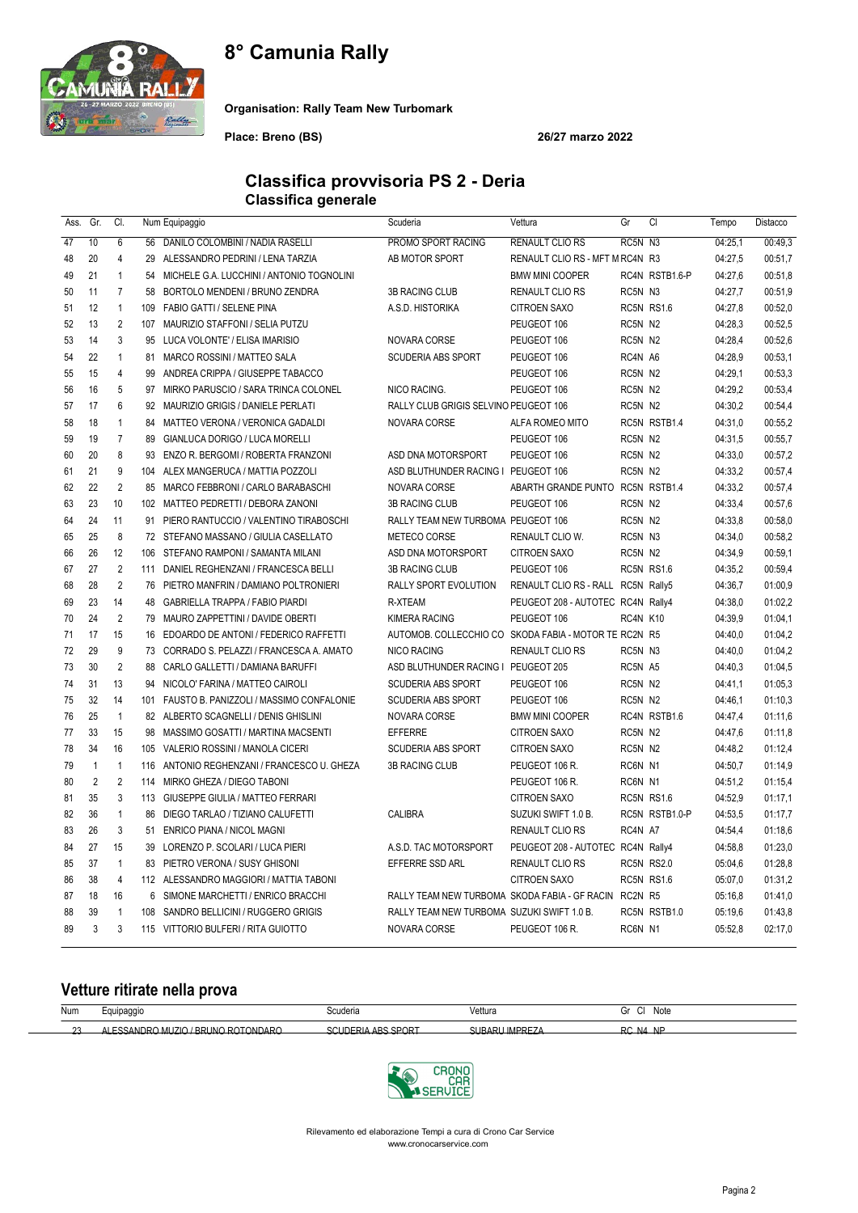# 8° Camunia Rally



Organisation: Rally Team New Turbomark

Place: Breno (BS) 26/27 marzo 2022

#### Classifica provvisoria PS 2 - Deria Classifica generale

| Ass. | Gr.            | CI.            |     | Num Equipaggio                              | Scuderia                                              | Vettura                            | Gr       | C1             | Tempo   | Distacco |
|------|----------------|----------------|-----|---------------------------------------------|-------------------------------------------------------|------------------------------------|----------|----------------|---------|----------|
| 47   | 10             | 6              | 56  | DANILO COLOMBINI / NADIA RASELLI            | PROMO SPORT RACING                                    | <b>RENAULT CLIO RS</b>             | RC5N N3  |                | 04:25,1 | 00:49.3  |
| 48   | 20             | $\overline{4}$ |     | 29 ALESSANDRO PEDRINI / LENA TARZIA         | AB MOTOR SPORT                                        | RENAULT CLIO RS - MFT M RC4N R3    |          |                | 04:27,5 | 00:51,7  |
| 49   | 21             | $\mathbf{1}$   | 54  | MICHELE G.A. LUCCHINI / ANTONIO TOGNOLINI   |                                                       | <b>BMW MINI COOPER</b>             |          | RC4N RSTB1.6-P | 04:27,6 | 00:51,8  |
| 50   | 11             | $\overline{7}$ | 58  | BORTOLO MENDENI / BRUNO ZENDRA              | 3B RACING CLUB                                        | RENAULT CLIO RS                    | RC5N N3  |                | 04:27,7 | 00:51,9  |
| 51   | 12             | $\mathbf{1}$   |     | 109 FABIO GATTI / SELENE PINA               | A.S.D. HISTORIKA                                      | <b>CITROEN SAXO</b>                |          | RC5N RS1.6     | 04:27,8 | 00:52,0  |
| 52   | 13             | $\overline{2}$ | 107 | MAURIZIO STAFFONI / SELIA PUTZU             |                                                       | PEUGEOT 106                        | RC5N N2  |                | 04:28,3 | 00:52,5  |
| 53   | 14             | 3              |     | 95 LUCA VOLONTE' / ELISA IMARISIO           | NOVARA CORSE                                          | PEUGEOT 106                        | RC5N N2  |                | 04:28,4 | 00:52,6  |
| 54   | 22             | $\mathbf{1}$   | 81  | MARCO ROSSINI / MATTEO SALA                 | <b>SCUDERIA ABS SPORT</b>                             | PEUGEOT 106                        | RC4N A6  |                | 04:28,9 | 00:53,1  |
| 55   | 15             | $\overline{4}$ | 99  | ANDREA CRIPPA / GIUSEPPE TABACCO            |                                                       | PEUGEOT 106                        | RC5N N2  |                | 04:29.1 | 00:53,3  |
| 56   | 16             | 5              | 97  | MIRKO PARUSCIO / SARA TRINCA COLONEL        | NICO RACING.                                          | PEUGEOT 106                        | RC5N N2  |                | 04:29.2 | 00:53,4  |
| 57   | 17             | 6              |     | 92 MAURIZIO GRIGIS / DANIELE PERLATI        | RALLY CLUB GRIGIS SELVINO PEUGEOT 106                 |                                    | RC5N N2  |                | 04:30.2 | 00:54,4  |
| 58   | 18             | $\mathbf{1}$   | 84  | MATTEO VERONA / VERONICA GADALDI            | NOVARA CORSE                                          | ALFA ROMEO MITO                    |          | RC5N RSTB1.4   | 04:31,0 | 00:55,2  |
| 59   | 19             | $\overline{7}$ | 89  | GIANLUCA DORIGO / LUCA MORELLI              |                                                       | PEUGEOT 106                        | RC5N N2  |                | 04:31,5 | 00:55,7  |
| 60   | 20             | 8              | 93  | ENZO R. BERGOMI / ROBERTA FRANZONI          | ASD DNA MOTORSPORT                                    | PEUGEOT 106                        | RC5N N2  |                | 04:33,0 | 00:57,2  |
| 61   | 21             | 9              | 104 | ALEX MANGERUCA / MATTIA POZZOLI             | ASD BLUTHUNDER RACING I PEUGEOT 106                   |                                    | RC5N N2  |                | 04:33,2 | 00:57,4  |
| 62   | 22             | $\overline{2}$ | 85  | MARCO FEBBRONI / CARLO BARABASCHI           | NOVARA CORSE                                          | ABARTH GRANDE PUNTO                |          | RC5N RSTB1.4   | 04:33,2 | 00:57,4  |
| 63   | 23             | 10             |     | 102 MATTEO PEDRETTI / DEBORA ZANONI         | 3B RACING CLUB                                        | PEUGEOT 106                        | RC5N N2  |                | 04:33,4 | 00:57,6  |
| 64   | 24             | 11             |     | 91 PIERO RANTUCCIO / VALENTINO TIRABOSCHI   | RALLY TEAM NEW TURBOMA PEUGEOT 106                    |                                    | RC5N N2  |                | 04:33,8 | 00:58,0  |
| 65   | 25             | 8              |     | 72 STEFANO MASSANO / GIULIA CASELLATO       | <b>METECO CORSE</b>                                   | RENAULT CLIO W.                    | RC5N N3  |                | 04:34,0 | 00:58,2  |
| 66   | 26             | 12             | 106 | STEFANO RAMPONI / SAMANTA MILANI            | ASD DNA MOTORSPORT                                    | <b>CITROEN SAXO</b>                | RC5N N2  |                | 04:34,9 | 00:59.1  |
| 67   | 27             | $\overline{2}$ |     | 111 DANIEL REGHENZANI / FRANCESCA BELLI     | 3B RACING CLUB                                        | PEUGEOT 106                        |          | RC5N RS1.6     | 04:35.2 | 00:59,4  |
| 68   | 28             | $\overline{2}$ |     | 76 PIETRO MANFRIN / DAMIANO POLTRONIERI     | RALLY SPORT EVOLUTION                                 | RENAULT CLIO RS - RALL RC5N Rally5 |          |                | 04:36,7 | 01:00,9  |
| 69   | 23             | 14             | 48  | GABRIELLA TRAPPA / FABIO PIARDI             | R-XTEAM                                               | PEUGEOT 208 - AUTOTEC RC4N Rally4  |          |                | 04:38,0 | 01:02,2  |
| 70   | 24             | $\overline{2}$ |     | 79 MAURO ZAPPETTINI / DAVIDE OBERTI         | <b>KIMERA RACING</b>                                  | PEUGEOT 106                        | RC4N K10 |                | 04:39,9 | 01:04,1  |
| 71   | 17             | 15             |     | 16 EDOARDO DE ANTONI / FEDERICO RAFFETTI    | AUTOMOB. COLLECCHIO CO SKODA FABIA - MOTOR TE RC2N R5 |                                    |          |                | 04:40,0 | 01:04,2  |
| 72   | 29             | 9              | 73  | CORRADO S. PELAZZI / FRANCESCA A. AMATO     | <b>NICO RACING</b>                                    | <b>RENAULT CLIO RS</b>             | RC5N N3  |                | 04:40,0 | 01:04.2  |
| 73   | 30             | $\overline{2}$ | 88  | CARLO GALLETTI / DAMIANA BARUFFI            | ASD BLUTHUNDER RACING I PEUGEOT 205                   |                                    | RC5N A5  |                | 04:40.3 | 01:04,5  |
| 74   | 31             | 13             | 94  | NICOLO' FARINA / MATTEO CAIROLI             | <b>SCUDERIA ABS SPORT</b>                             | PEUGEOT 106                        | RC5N N2  |                | 04:41,1 | 01:05,3  |
| 75   | 32             | 14             | 101 | FAUSTO B. PANIZZOLI / MASSIMO CONFALONIE    | SCUDERIA ABS SPORT                                    | PEUGEOT 106                        | RC5N N2  |                | 04:46.1 | 01:10.3  |
| 76   | 25             | $\mathbf{1}$   |     | 82 ALBERTO SCAGNELLI / DENIS GHISLINI       | NOVARA CORSE                                          | <b>BMW MINI COOPER</b>             |          | RC4N RSTB1.6   | 04:47.4 | 01:11,6  |
| 77   | 33             | 15             |     | 98 MASSIMO GOSATTI / MARTINA MACSENTI       | <b>EFFERRE</b>                                        | <b>CITROEN SAXO</b>                | RC5N N2  |                | 04:47.6 | 01:11.8  |
| 78   | 34             | 16             | 105 | VALERIO ROSSINI / MANOLA CICERI             | SCUDERIA ABS SPORT                                    | CITROEN SAXO                       | RC5N N2  |                | 04:48,2 | 01:12,4  |
| 79   | $\mathbf{1}$   | $\mathbf{1}$   |     | 116 ANTONIO REGHENZANI / FRANCESCO U. GHEZA | <b>3B RACING CLUB</b>                                 | PEUGEOT 106 R.                     | RC6N N1  |                | 04:50,7 | 01:14.9  |
| 80   | $\overline{2}$ | $\overline{2}$ | 114 | MIRKO GHEZA / DIEGO TABONI                  |                                                       | PEUGEOT 106 R.                     | RC6N N1  |                | 04:51,2 | 01:15,4  |
| 81   | 35             | 3              |     | 113 GIUSEPPE GIULIA / MATTEO FERRARI        |                                                       | <b>CITROEN SAXO</b>                |          | RC5N RS1.6     | 04:52,9 | 01:17,1  |
| 82   | 36             | $\mathbf{1}$   |     | 86 DIEGO TARLAO / TIZIANO CALUFETTI         | CALIBRA                                               | SUZUKI SWIFT 1.0 B.                |          | RC5N RSTB1.0-P | 04:53,5 | 01:17,7  |
| 83   | 26             | 3              | 51  | ENRICO PIANA / NICOL MAGNI                  |                                                       | RENAULT CLIO RS                    | RC4N A7  |                | 04:54,4 | 01:18,6  |
| 84   | 27             | 15             | 39  | LORENZO P. SCOLARI / LUCA PIERI             | A.S.D. TAC MOTORSPORT                                 | PEUGEOT 208 - AUTOTEC RC4N Rally4  |          |                | 04:58.8 | 01:23,0  |
| 85   | 37             | $\mathbf{1}$   |     | 83 PIETRO VERONA / SUSY GHISONI             | <b>EFFERRE SSD ARL</b>                                | RENAULT CLIO RS                    |          | RC5N RS2.0     | 05:04,6 | 01:28.8  |
| 86   | 38             | $\overline{4}$ |     | 112 ALESSANDRO MAGGIORI / MATTIA TABONI     |                                                       | <b>CITROEN SAXO</b>                |          | RC5N RS1.6     | 05:07,0 | 01:31,2  |
| 87   | 18             | 16             |     | 6 SIMONE MARCHETTI / ENRICO BRACCHI         | RALLY TEAM NEW TURBOMA SKODA FABIA - GF RACIN         |                                    | RC2N R5  |                | 05:16.8 | 01:41,0  |
| 88   | 39             | $\mathbf{1}$   |     | 108 SANDRO BELLICINI / RUGGERO GRIGIS       | RALLY TEAM NEW TURBOMA SUZUKI SWIFT 1.0 B.            |                                    |          | RC5N RSTB1.0   | 05:19,6 | 01:43,8  |
| 89   | 3              | 3              |     | 115 VITTORIO BULFERI / RITA GUIOTTO         | NOVARA CORSE                                          | PEUGEOT 106 R.                     | RC6N N1  |                | 05:52,8 | 02:17,0  |
|      |                |                |     |                                             |                                                       |                                    |          |                |         |          |

## Vetture ritirate nella prova

| Num | oippeau<br>ີວວ               | icuderia                | Vettura | שטופ<br>ີ<br>$\sim$ |
|-----|------------------------------|-------------------------|---------|---------------------|
| --  | DARO<br>/RR<br>ாப்பட<br>. NP | SPOR <sup>-</sup><br>ΔP |         | יז                  |



Rilevamento ed elaborazione Tempi a cura di Crono Car Service www.cronocarservice.com